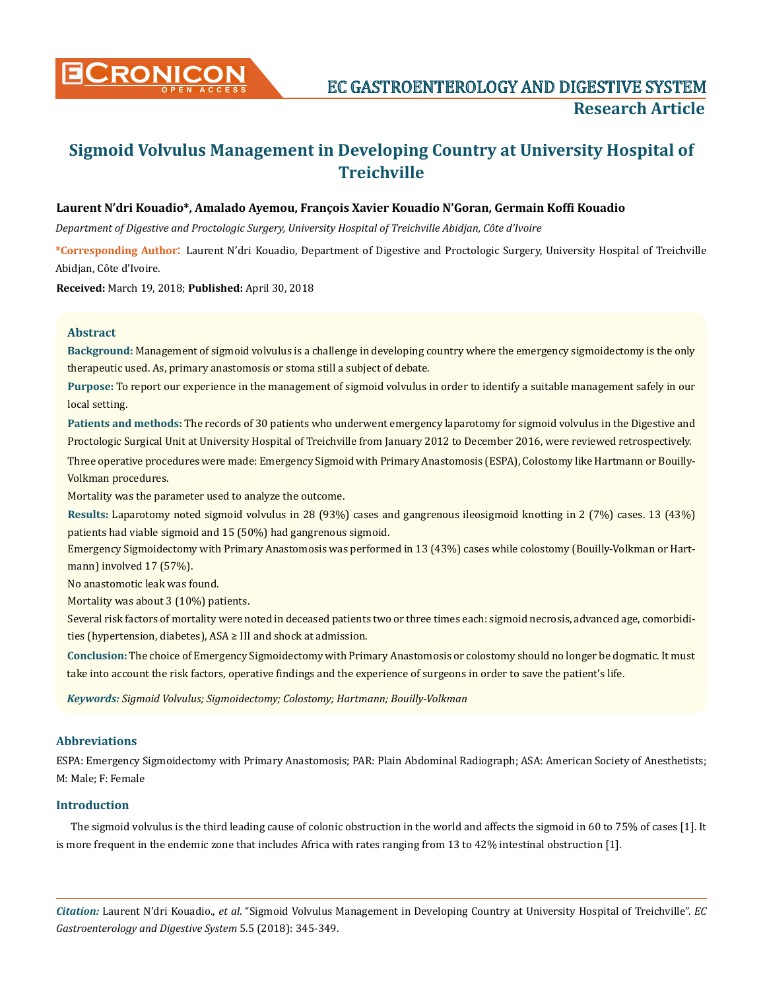

# **Sigmoid Volvulus Management in Developing Country at University Hospital of Treichville**

# **Laurent N'dri Kouadio\*, Amalado Ayemou, François Xavier Kouadio N'Goran, Germain Koffi Kouadio**

*Department of Digestive and Proctologic Surgery, University Hospital of Treichville Abidjan, Côte d'Ivoire* 

**\*Corresponding Author**: Laurent N'dri Kouadio, Department of Digestive and Proctologic Surgery, University Hospital of Treichville Abidjan, Côte d'Ivoire.

**Received:** March 19, 2018; **Published:** April 30, 2018

### **Abstract**

**Background:** Management of sigmoid volvulus is a challenge in developing country where the emergency sigmoidectomy is the only therapeutic used. As, primary anastomosis or stoma still a subject of debate.

**Purpose:** To report our experience in the management of sigmoid volvulus in order to identify a suitable management safely in our local setting.

**Patients and methods:** The records of 30 patients who underwent emergency laparotomy for sigmoid volvulus in the Digestive and Proctologic Surgical Unit at University Hospital of Treichville from January 2012 to December 2016, were reviewed retrospectively.

Three operative procedures were made: Emergency Sigmoid with Primary Anastomosis (ESPA), Colostomy like Hartmann or Bouilly-Volkman procedures.

Mortality was the parameter used to analyze the outcome.

**Results:** Laparotomy noted sigmoid volvulus in 28 (93%) cases and gangrenous ileosigmoid knotting in 2 (7%) cases. 13 (43%) patients had viable sigmoid and 15 (50%) had gangrenous sigmoid.

Emergency Sigmoidectomy with Primary Anastomosis was performed in 13 (43%) cases while colostomy (Bouilly-Volkman or Hartmann) involved 17 (57%).

No anastomotic leak was found.

Mortality was about 3 (10%) patients.

Several risk factors of mortality were noted in deceased patients two or three times each: sigmoid necrosis, advanced age, comorbidities (hypertension, diabetes), ASA ≥ III and shock at admission.

**Conclusion:** The choice of Emergency Sigmoidectomy with Primary Anastomosis or colostomy should no longer be dogmatic. It must take into account the risk factors, operative findings and the experience of surgeons in order to save the patient's life.

*Keywords: Sigmoid Volvulus; Sigmoidectomy; Colostomy; Hartmann; Bouilly-Volkman*

## **Abbreviations**

ESPA: Emergency Sigmoidectomy with Primary Anastomosis; PAR: Plain Abdominal Radiograph; ASA: American Society of Anesthetists; M: Male; F: Female

### **Introduction**

The sigmoid volvulus is the third leading cause of colonic obstruction in the world and affects the sigmoid in 60 to 75% of cases [1]. It is more frequent in the endemic zone that includes Africa with rates ranging from 13 to 42% intestinal obstruction [1].

*Citation:* Laurent N'dri Kouadio., *et al*. "Sigmoid Volvulus Management in Developing Country at University Hospital of Treichville". *EC Gastroenterology and Digestive System* 5.5 (2018): 345-349.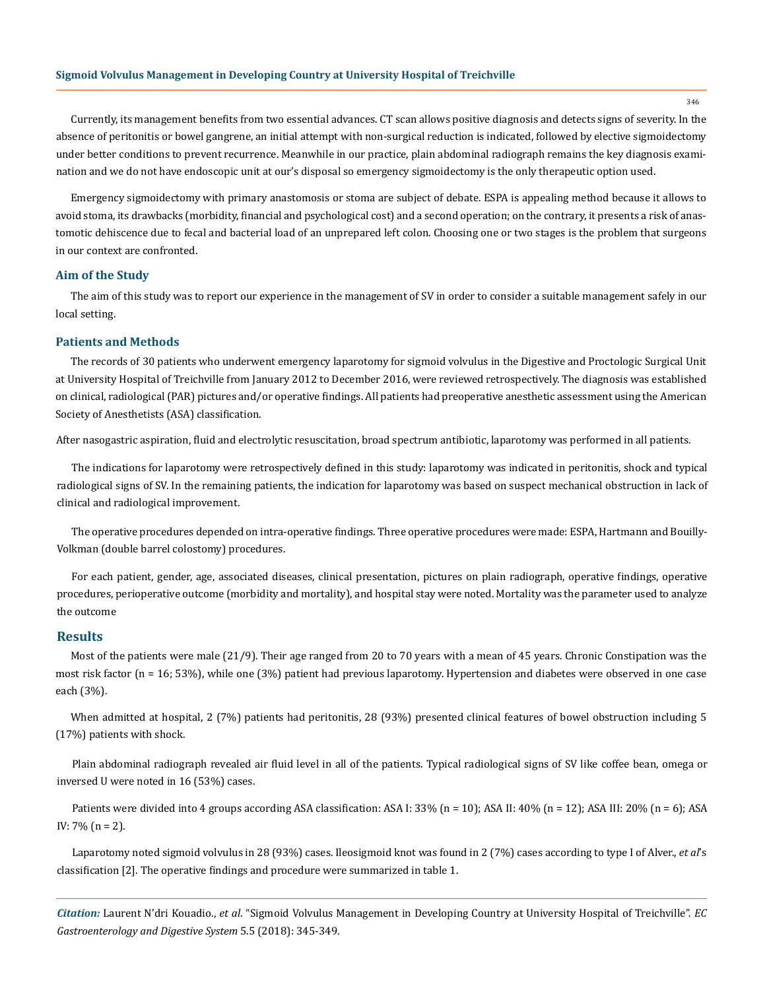Currently, its management benefits from two essential advances. CT scan allows positive diagnosis and detects signs of severity. In the absence of peritonitis or bowel gangrene, an initial attempt with non-surgical reduction is indicated, followed by elective sigmoidectomy under better conditions to prevent recurrence. Meanwhile in our practice, plain abdominal radiograph remains the key diagnosis examination and we do not have endoscopic unit at our's disposal so emergency sigmoidectomy is the only therapeutic option used.

Emergency sigmoidectomy with primary anastomosis or stoma are subject of debate. ESPA is appealing method because it allows to avoid stoma, its drawbacks (morbidity, financial and psychological cost) and a second operation; on the contrary, it presents a risk of anastomotic dehiscence due to fecal and bacterial load of an unprepared left colon. Choosing one or two stages is the problem that surgeons in our context are confronted.

#### **Aim of the Study**

The aim of this study was to report our experience in the management of SV in order to consider a suitable management safely in our local setting.

#### **Patients and Methods**

The records of 30 patients who underwent emergency laparotomy for sigmoid volvulus in the Digestive and Proctologic Surgical Unit at University Hospital of Treichville from January 2012 to December 2016, were reviewed retrospectively. The diagnosis was established on clinical, radiological (PAR) pictures and/or operative findings. All patients had preoperative anesthetic assessment using the American Society of Anesthetists (ASA) classification.

After nasogastric aspiration, fluid and electrolytic resuscitation, broad spectrum antibiotic, laparotomy was performed in all patients.

The indications for laparotomy were retrospectively defined in this study: laparotomy was indicated in peritonitis, shock and typical radiological signs of SV. In the remaining patients, the indication for laparotomy was based on suspect mechanical obstruction in lack of clinical and radiological improvement.

The operative procedures depended on intra-operative findings. Three operative procedures were made: ESPA, Hartmann and Bouilly-Volkman (double barrel colostomy) procedures.

For each patient, gender, age, associated diseases, clinical presentation, pictures on plain radiograph, operative findings, operative procedures, perioperative outcome (morbidity and mortality), and hospital stay were noted. Mortality was the parameter used to analyze the outcome

#### **Results**

Most of the patients were male (21/9). Their age ranged from 20 to 70 years with a mean of 45 years. Chronic Constipation was the most risk factor (n = 16; 53%), while one (3%) patient had previous laparotomy. Hypertension and diabetes were observed in one case each (3%).

When admitted at hospital, 2 (7%) patients had peritonitis, 28 (93%) presented clinical features of bowel obstruction including 5 (17%) patients with shock.

Plain abdominal radiograph revealed air fluid level in all of the patients. Typical radiological signs of SV like coffee bean, omega or inversed U were noted in 16 (53%) cases.

Patients were divided into 4 groups according ASA classification: ASA I: 33% (n = 10); ASA III: 40% (n = 12); ASA III: 20% (n = 6); ASA IV: 7% (n = 2).

Laparotomy noted sigmoid volvulus in 28 (93%) cases. Ileosigmoid knot was found in 2 (7%) cases according to type I of Alver., *et al*'s classification [2]. The operative findings and procedure were summarized in table 1.

*Citation:* Laurent N'dri Kouadio., *et al*. "Sigmoid Volvulus Management in Developing Country at University Hospital of Treichville". *EC Gastroenterology and Digestive System* 5.5 (2018): 345-349.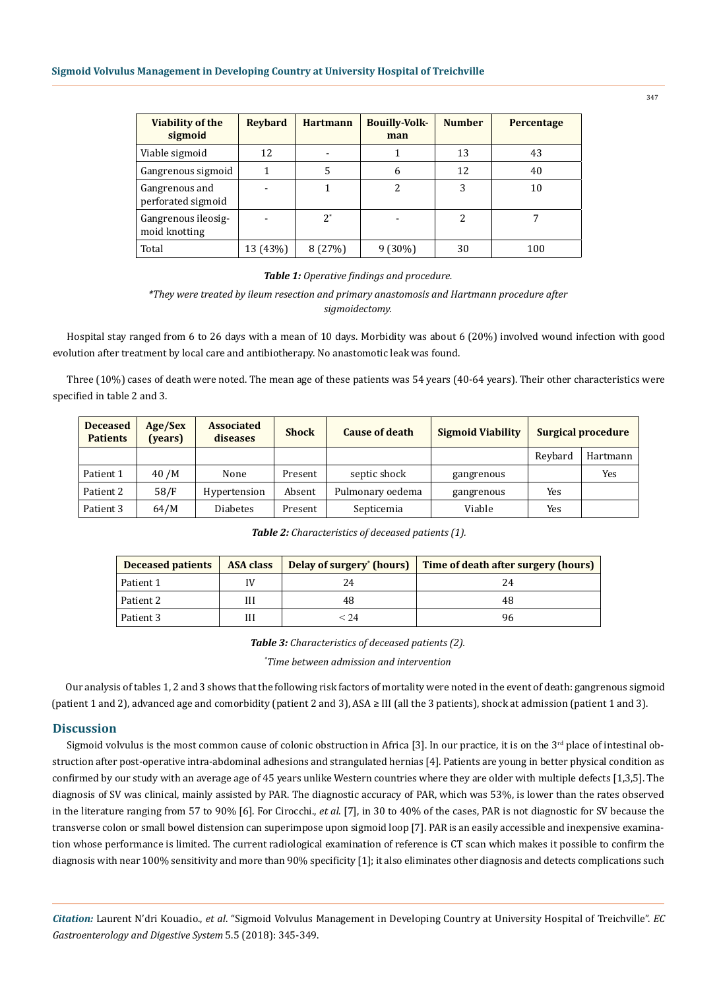| <b>Viability of the</b><br>sigmoid   | <b>Revbard</b> | <b>Hartmann</b> | <b>Bouilly-Volk-</b><br>man | <b>Number</b> | Percentage |
|--------------------------------------|----------------|-----------------|-----------------------------|---------------|------------|
| Viable sigmoid                       | 12             | $\blacksquare$  |                             | 13            | 43         |
| Gangrenous sigmoid                   |                | 5               | 6                           | 12            | 40         |
| Gangrenous and<br>perforated sigmoid |                |                 | 2                           | 3             | 10         |
| Gangrenous ileosig-<br>moid knotting |                | $2^*$           |                             | 2             |            |
| Total                                | 13 (43%)       | 8(27%)          | $9(30\%)$                   | 30            | 100        |

#### *Table 1: Operative findings and procedure.*

## *\*They were treated by ileum resection and primary anastomosis and Hartmann procedure after sigmoidectomy.*

Hospital stay ranged from 6 to 26 days with a mean of 10 days. Morbidity was about 6 (20%) involved wound infection with good evolution after treatment by local care and antibiotherapy. No anastomotic leak was found.

Three (10%) cases of death were noted. The mean age of these patients was 54 years (40-64 years). Their other characteristics were specified in table 2 and 3.

| <b>Deceased</b><br><b>Patients</b> | Age/Sex<br>(vears) | <b>Associated</b><br>diseases | <b>Shock</b> | <b>Cause of death</b> | <b>Sigmoid Viability</b> |         | <b>Surgical procedure</b> |
|------------------------------------|--------------------|-------------------------------|--------------|-----------------------|--------------------------|---------|---------------------------|
|                                    |                    |                               |              |                       |                          | Reybard | Hartmann                  |
| Patient 1                          | 40 /M              | None                          | Present      | septic shock          | gangrenous               |         | Yes                       |
| Patient 2                          | 58/F               | Hypertension                  | Absent       | Pulmonary oedema      | gangrenous               | Yes     |                           |
| Patient 3                          | 64/M               | <b>Diabetes</b>               | Present      | Septicemia            | Viable                   | Yes     |                           |

*Table 2: Characteristics of deceased patients (1).*

| <b>Deceased patients</b> | <b>ASA class</b> |      | Delay of surgery' (hours) Time of death after surgery (hours) |  |  |
|--------------------------|------------------|------|---------------------------------------------------------------|--|--|
| Patient 1                |                  |      |                                                               |  |  |
| Patient 2                | Ш                |      | 48                                                            |  |  |
| Patient 3                | Ш                | < 74 | 96                                                            |  |  |

*Table 3: Characteristics of deceased patients (2).*

*\* Time between admission and intervention*

Our analysis of tables 1, 2 and 3 shows that the following risk factors of mortality were noted in the event of death: gangrenous sigmoid (patient 1 and 2), advanced age and comorbidity (patient 2 and 3), ASA ≥ III (all the 3 patients), shock at admission (patient 1 and 3).

## **Discussion**

Sigmoid volvulus is the most common cause of colonic obstruction in Africa [3]. In our practice, it is on the  $3<sup>rd</sup>$  place of intestinal obstruction after post-operative intra-abdominal adhesions and strangulated hernias [4]. Patients are young in better physical condition as confirmed by our study with an average age of 45 years unlike Western countries where they are older with multiple defects [1,3,5]. The diagnosis of SV was clinical, mainly assisted by PAR. The diagnostic accuracy of PAR, which was 53%, is lower than the rates observed in the literature ranging from 57 to 90% [6]. For Cirocchi., *et al*. [7], in 30 to 40% of the cases, PAR is not diagnostic for SV because the transverse colon or small bowel distension can superimpose upon sigmoid loop [7]. PAR is an easily accessible and inexpensive examination whose performance is limited. The current radiological examination of reference is CT scan which makes it possible to confirm the diagnosis with near 100% sensitivity and more than 90% specificity [1]; it also eliminates other diagnosis and detects complications such

*Citation:* Laurent N'dri Kouadio., *et al*. "Sigmoid Volvulus Management in Developing Country at University Hospital of Treichville". *EC Gastroenterology and Digestive System* 5.5 (2018): 345-349.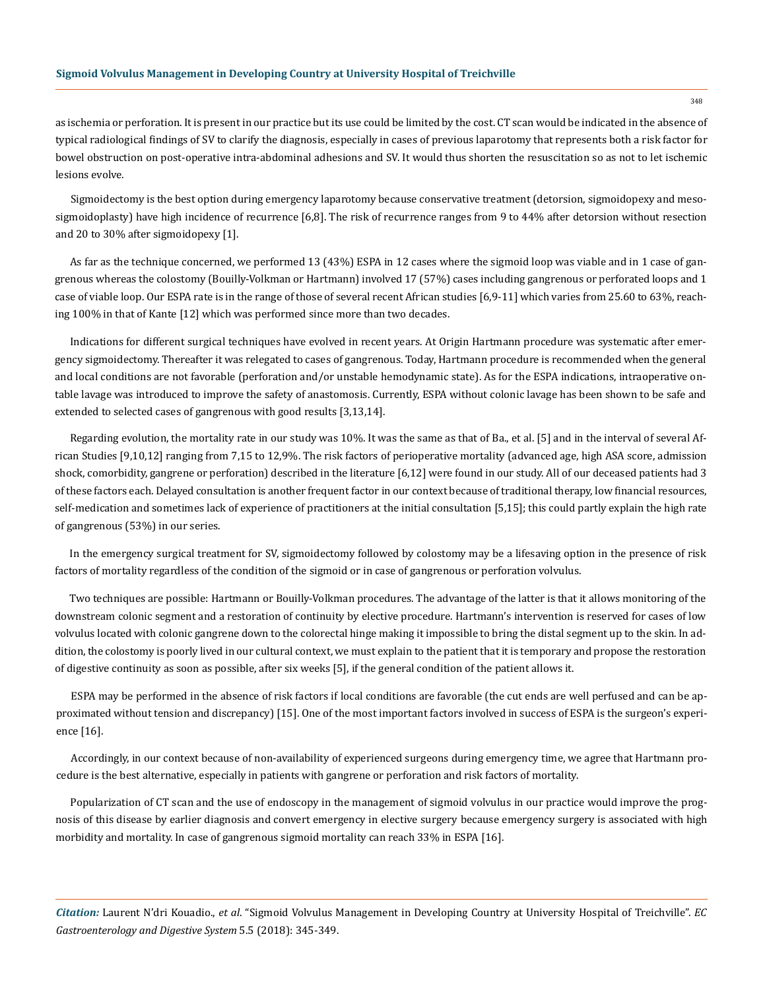as ischemia or perforation. It is present in our practice but its use could be limited by the cost. CT scan would be indicated in the absence of typical radiological findings of SV to clarify the diagnosis, especially in cases of previous laparotomy that represents both a risk factor for bowel obstruction on post-operative intra-abdominal adhesions and SV. It would thus shorten the resuscitation so as not to let ischemic lesions evolve.

Sigmoidectomy is the best option during emergency laparotomy because conservative treatment (detorsion, sigmoidopexy and mesosigmoidoplasty) have high incidence of recurrence [6,8]. The risk of recurrence ranges from 9 to 44% after detorsion without resection and 20 to 30% after sigmoidopexy [1].

As far as the technique concerned, we performed 13 (43%) ESPA in 12 cases where the sigmoid loop was viable and in 1 case of gangrenous whereas the colostomy (Bouilly-Volkman or Hartmann) involved 17 (57%) cases including gangrenous or perforated loops and 1 case of viable loop. Our ESPA rate is in the range of those of several recent African studies [6,9-11] which varies from 25.60 to 63%, reaching 100% in that of Kante [12] which was performed since more than two decades.

Indications for different surgical techniques have evolved in recent years. At Origin Hartmann procedure was systematic after emergency sigmoidectomy. Thereafter it was relegated to cases of gangrenous. Today, Hartmann procedure is recommended when the general and local conditions are not favorable (perforation and/or unstable hemodynamic state). As for the ESPA indications, intraoperative ontable lavage was introduced to improve the safety of anastomosis. Currently, ESPA without colonic lavage has been shown to be safe and extended to selected cases of gangrenous with good results [3,13,14].

Regarding evolution, the mortality rate in our study was 10%. It was the same as that of Ba., et al. [5] and in the interval of several African Studies [9,10,12] ranging from 7,15 to 12,9%. The risk factors of perioperative mortality (advanced age, high ASA score, admission shock, comorbidity, gangrene or perforation) described in the literature [6,12] were found in our study. All of our deceased patients had 3 of these factors each. Delayed consultation is another frequent factor in our context because of traditional therapy, low financial resources, self-medication and sometimes lack of experience of practitioners at the initial consultation [5,15]; this could partly explain the high rate of gangrenous (53%) in our series.

In the emergency surgical treatment for SV, sigmoidectomy followed by colostomy may be a lifesaving option in the presence of risk factors of mortality regardless of the condition of the sigmoid or in case of gangrenous or perforation volvulus.

Two techniques are possible: Hartmann or Bouilly-Volkman procedures. The advantage of the latter is that it allows monitoring of the downstream colonic segment and a restoration of continuity by elective procedure. Hartmann's intervention is reserved for cases of low volvulus located with colonic gangrene down to the colorectal hinge making it impossible to bring the distal segment up to the skin. In addition, the colostomy is poorly lived in our cultural context, we must explain to the patient that it is temporary and propose the restoration of digestive continuity as soon as possible, after six weeks [5], if the general condition of the patient allows it.

ESPA may be performed in the absence of risk factors if local conditions are favorable (the cut ends are well perfused and can be approximated without tension and discrepancy) [15]. One of the most important factors involved in success of ESPA is the surgeon's experience [16].

Accordingly, in our context because of non-availability of experienced surgeons during emergency time, we agree that Hartmann procedure is the best alternative, especially in patients with gangrene or perforation and risk factors of mortality.

Popularization of CT scan and the use of endoscopy in the management of sigmoid volvulus in our practice would improve the prognosis of this disease by earlier diagnosis and convert emergency in elective surgery because emergency surgery is associated with high morbidity and mortality. In case of gangrenous sigmoid mortality can reach 33% in ESPA [16].

*Citation:* Laurent N'dri Kouadio., *et al*. "Sigmoid Volvulus Management in Developing Country at University Hospital of Treichville". *EC Gastroenterology and Digestive System* 5.5 (2018): 345-349.